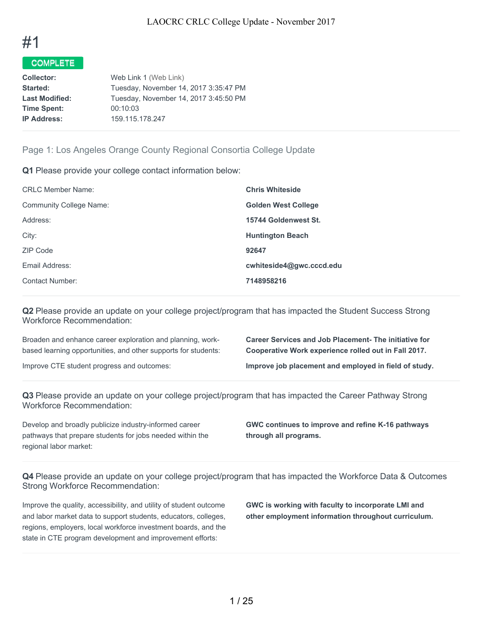

| <b>Collector:</b>     | Web Link 1 (Web Link)                 |
|-----------------------|---------------------------------------|
| Started:              | Tuesday, November 14, 2017 3:35:47 PM |
| <b>Last Modified:</b> | Tuesday, November 14, 2017 3:45:50 PM |
| <b>Time Spent:</b>    | 00:10:03                              |
| <b>IP Address:</b>    | 159.115.178.247                       |
|                       |                                       |

## Page 1: Los Angeles Orange County Regional Consortia College Update

**Q1** Please provide your college contact information below:

| <b>CRLC Member Name:</b>       | <b>Chris Whiteside</b>     |
|--------------------------------|----------------------------|
| <b>Community College Name:</b> | <b>Golden West College</b> |
| Address:                       | 15744 Goldenwest St.       |
| City:                          | <b>Huntington Beach</b>    |
| ZIP Code                       | 92647                      |
| Email Address:                 | cwhiteside4@qwc.cccd.edu   |
| <b>Contact Number:</b>         | 7148958216                 |
|                                |                            |

**Q2** Please provide an update on your college project/program that has impacted the Student Success Strong Workforce Recommendation:

Broaden and enhance career exploration and planning, workbased learning opportunities, and other supports for students:

**Career Services and Job Placement- The initiative for Cooperative Work experience rolled out in Fall 2017.**

Improve CTE student progress and outcomes: **Improve job placement and employed in field of study.**

**Q3** Please provide an update on your college project/program that has impacted the Career Pathway Strong Workforce Recommendation:

Develop and broadly publicize industry-informed career pathways that prepare students for jobs needed within the regional labor market:

**GWC continues to improve and refine K-16 pathways through all programs.**

**Q4** Please provide an update on your college project/program that has impacted the Workforce Data & Outcomes Strong Workforce Recommendation:

Improve the quality, accessibility, and utility of student outcome and labor market data to support students, educators, colleges, regions, employers, local workforce investment boards, and the state in CTE program development and improvement efforts:

**GWC is working with faculty to incorporate LMI and other employment information throughout curriculum.**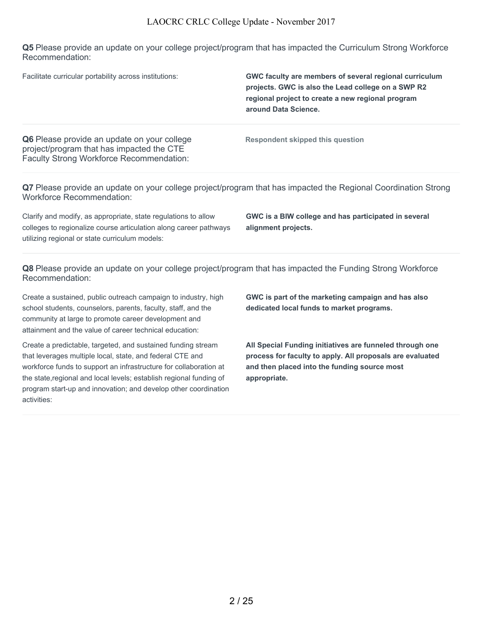**Q5** Please provide an update on your college project/program that has impacted the Curriculum Strong Workforce Recommendation:

| Facilitate curricular portability across institutions:                                                                                                                                | GWC faculty are members of several regional curriculum<br>projects. GWC is also the Lead college on a SWP R2<br>regional project to create a new regional program<br>around Data Science. |
|---------------------------------------------------------------------------------------------------------------------------------------------------------------------------------------|-------------------------------------------------------------------------------------------------------------------------------------------------------------------------------------------|
| Q6 Please provide an update on your college<br>project/program that has impacted the CTE<br><b>Faculty Strong Workforce Recommendation:</b>                                           | Respondent skipped this question                                                                                                                                                          |
| Q7 Please provide an update on your college project/program that has impacted the Regional Coordination Strong<br><b>Workforce Recommendation:</b>                                    |                                                                                                                                                                                           |
| Clarify and modify, as appropriate, state regulations to allow<br>colleges to regionalize course articulation along career pathways<br>utilizing regional or state curriculum models: | GWC is a BIW college and has participated in several<br>alignment projects.                                                                                                               |

**Q8** Please provide an update on your college project/program that has impacted the Funding Strong Workforce Recommendation:

Create a sustained, public outreach campaign to industry, high school students, counselors, parents, faculty, staff, and the community at large to promote career development and attainment and the value of career technical education:

Create a predictable, targeted, and sustained funding stream that leverages multiple local, state, and federal CTE and workforce funds to support an infrastructure for collaboration at the state,regional and local levels; establish regional funding of program start-up and innovation; and develop other coordination activities:

**GWC is part of the marketing campaign and has also dedicated local funds to market programs.**

**All Special Funding initiatives are funneled through one process for faculty to apply. All proposals are evaluated and then placed into the funding source most appropriate.**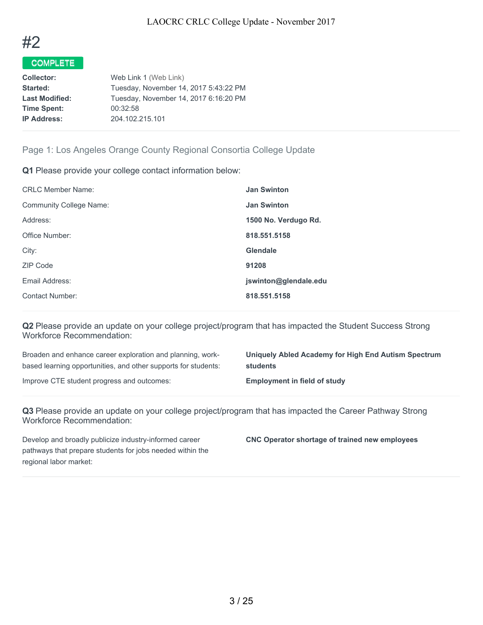

| <b>Collector:</b>     | Web Link 1 (Web Link)                 |
|-----------------------|---------------------------------------|
| Started:              | Tuesday, November 14, 2017 5:43:22 PM |
| <b>Last Modified:</b> | Tuesday, November 14, 2017 6:16:20 PM |
| <b>Time Spent:</b>    | 00:32:58                              |
| <b>IP Address:</b>    | 204.102.215.101                       |
|                       |                                       |

# Page 1: Los Angeles Orange County Regional Consortia College Update

**Q1** Please provide your college contact information below:

| <b>CRLC Member Name:</b>       | <b>Jan Swinton</b>    |
|--------------------------------|-----------------------|
| <b>Community College Name:</b> | <b>Jan Swinton</b>    |
| Address:                       | 1500 No. Verdugo Rd.  |
| Office Number:                 | 818.551.5158          |
| City:                          | Glendale              |
| ZIP Code                       | 91208                 |
| Email Address:                 | jswinton@glendale.edu |
| <b>Contact Number:</b>         | 818.551.5158          |

**Q2** Please provide an update on your college project/program that has impacted the Student Success Strong Workforce Recommendation:

Broaden and enhance career exploration and planning, workbased learning opportunities, and other supports for students:

Improve CTE student progress and outcomes: **Employment in field of study**

**Uniquely Abled Academy for High End Autism Spectrum students**

**Q3** Please provide an update on your college project/program that has impacted the Career Pathway Strong Workforce Recommendation:

Develop and broadly publicize industry-informed career pathways that prepare students for jobs needed within the regional labor market:

**CNC Operator shortage of trained new employees**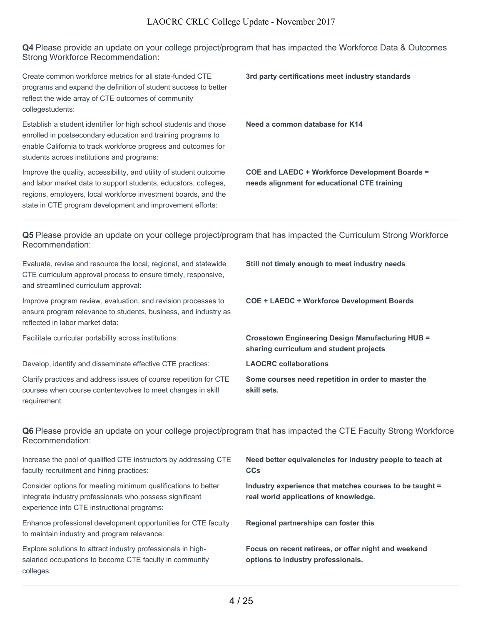**Q4** Please provide an update on your college project/program that has impacted the Workforce Data & Outcomes Strong Workforce Recommendation:

Create common workforce metrics for all state-funded CTE programs and expand the definition of student success to better reflect the wide array of CTE outcomes of community collegestudents:

Establish a student identifier for high school students and those enrolled in postsecondary education and training programs to enable California to track workforce progress and outcomes for students across institutions and programs:

Improve the quality, accessibility, and utility of student outcome and labor market data to support students, educators, colleges, regions, employers, local workforce investment boards, and the state in CTE program development and improvement efforts:

**3rd party certifications meet industry standards**

**Need a common database for K14**

**COE and LAEDC + Workforce Development Boards = needs alignment for educational CTE training**

**Q5** Please provide an update on your college project/program that has impacted the Curriculum Strong Workforce Recommendation:

| Evaluate, revise and resource the local, regional, and statewide<br>CTE curriculum approval process to ensure timely, responsive,<br>and streamlined curriculum approval: | Still not timely enough to meet industry needs                                                     |
|---------------------------------------------------------------------------------------------------------------------------------------------------------------------------|----------------------------------------------------------------------------------------------------|
| Improve program review, evaluation, and revision processes to<br>ensure program relevance to students, business, and industry as<br>reflected in labor market data:       | <b>COE + LAEDC + Workforce Development Boards</b>                                                  |
| Facilitate curricular portability across institutions:                                                                                                                    | <b>Crosstown Engineering Design Manufacturing HUB =</b><br>sharing curriculum and student projects |
| Develop, identify and disseminate effective CTE practices:                                                                                                                | <b>LAOCRC</b> collaborations                                                                       |
| Clarify practices and address issues of course repetition for CTE<br>courses when course contentevolves to meet changes in skill<br>requirement:                          | Some courses need repetition in order to master the<br>skill sets.                                 |

**Q6** Please provide an update on your college project/program that has impacted the CTE Faculty Strong Workforce Recommendation:

| Increase the pool of qualified CTE instructors by addressing CTE<br>faculty recruitment and hiring practices:                                                            | Need better equivalencies for industry people to teach at<br><b>CCs</b>                          |
|--------------------------------------------------------------------------------------------------------------------------------------------------------------------------|--------------------------------------------------------------------------------------------------|
| Consider options for meeting minimum qualifications to better<br>integrate industry professionals who possess significant<br>experience into CTE instructional programs: | Industry experience that matches courses to be taught =<br>real world applications of knowledge. |
| Enhance professional development opportunities for CTE faculty<br>to maintain industry and program relevance:                                                            | Regional partnerships can foster this                                                            |
| Explore solutions to attract industry professionals in high-<br>salaried occupations to become CTE faculty in community<br>colleges:                                     | Focus on recent retirees, or offer night and weekend<br>options to industry professionals.       |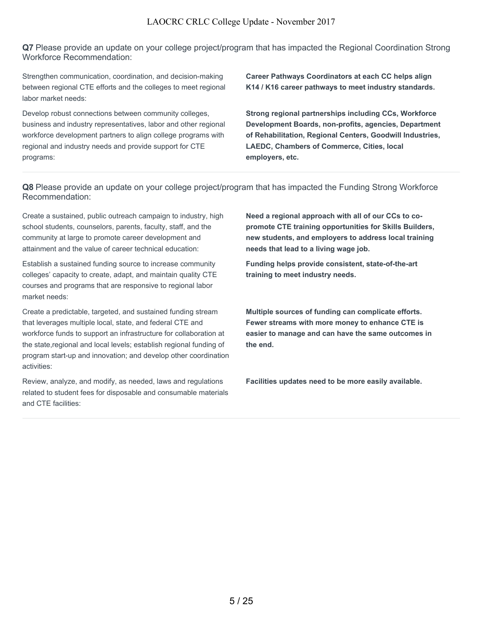**Q7** Please provide an update on your college project/program that has impacted the Regional Coordination Strong Workforce Recommendation:

Strengthen communication, coordination, and decision-making between regional CTE efforts and the colleges to meet regional labor market needs:

Develop robust connections between community colleges, business and industry representatives, labor and other regional workforce development partners to align college programs with regional and industry needs and provide support for CTE programs:

**Career Pathways Coordinators at each CC helps align K14 / K16 career pathways to meet industry standards.**

**Strong regional partnerships including CCs, Workforce Development Boards, non-profits, agencies, Department of Rehabilitation, Regional Centers, Goodwill Industries, LAEDC, Chambers of Commerce, Cities, local employers, etc.**

**Q8** Please provide an update on your college project/program that has impacted the Funding Strong Workforce Recommendation:

Create a sustained, public outreach campaign to industry, high school students, counselors, parents, faculty, staff, and the community at large to promote career development and attainment and the value of career technical education:

Establish a sustained funding source to increase community colleges' capacity to create, adapt, and maintain quality CTE courses and programs that are responsive to regional labor market needs:

Create a predictable, targeted, and sustained funding stream that leverages multiple local, state, and federal CTE and workforce funds to support an infrastructure for collaboration at the state,regional and local levels; establish regional funding of program start-up and innovation; and develop other coordination activities:

Review, analyze, and modify, as needed, laws and regulations related to student fees for disposable and consumable materials and CTE facilities:

**Need a regional approach with all of our CCs to copromote CTE training opportunities for Skills Builders, new students, and employers to address local training needs that lead to a living wage job.**

**Funding helps provide consistent, state-of-the-art training to meet industry needs.**

**Multiple sources of funding can complicate efforts. Fewer streams with more money to enhance CTE is easier to manage and can have the same outcomes in the end.**

**Facilities updates need to be more easily available.**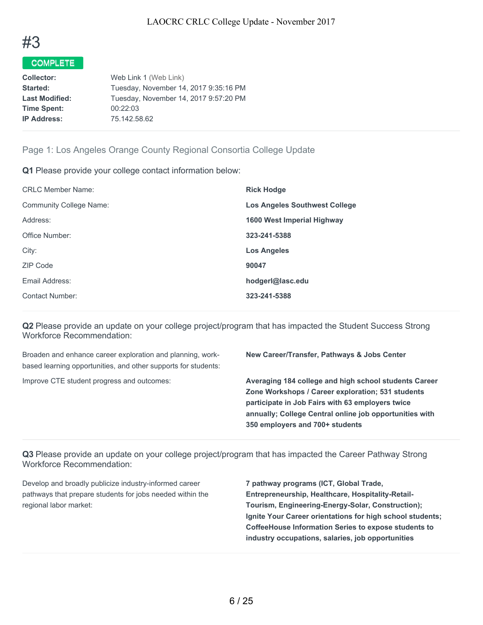

| <b>Collector:</b>     | Web Link 1 (Web Link)                 |
|-----------------------|---------------------------------------|
| Started:              | Tuesday, November 14, 2017 9:35:16 PM |
| <b>Last Modified:</b> | Tuesday, November 14, 2017 9:57:20 PM |
| <b>Time Spent:</b>    | 00:22:03                              |
| <b>IP Address:</b>    | 75.142.58.62                          |
|                       |                                       |

# Page 1: Los Angeles Orange County Regional Consortia College Update

**Q1** Please provide your college contact information below:

| <b>CRLC Member Name:</b>       | <b>Rick Hodge</b>                    |
|--------------------------------|--------------------------------------|
| <b>Community College Name:</b> | <b>Los Angeles Southwest College</b> |
| Address:                       | 1600 West Imperial Highway           |
| Office Number:                 | 323-241-5388                         |
| City:                          | <b>Los Angeles</b>                   |
| ZIP Code                       | 90047                                |
| Email Address:                 | hodgerl@lasc.edu                     |
| Contact Number:                | 323-241-5388                         |

**Q2** Please provide an update on your college project/program that has impacted the Student Success Strong Workforce Recommendation:

Broaden and enhance career exploration and planning, workbased learning opportunities, and other supports for students:

**New Career/Transfer, Pathways & Jobs Center**

Improve CTE student progress and outcomes: **Averaging 184 college and high school students Career Zone Workshops / Career exploration; 531 students participate in Job Fairs with 63 employers twice annually; College Central online job opportunities with 350 employers and 700+ students**

**Q3** Please provide an update on your college project/program that has impacted the Career Pathway Strong Workforce Recommendation:

Develop and broadly publicize industry-informed career pathways that prepare students for jobs needed within the regional labor market:

**7 pathway programs (ICT, Global Trade, Entrepreneurship, Healthcare, Hospitality-Retail-Tourism, Engineering-Energy-Solar, Construction); Ignite Your Career orientations for high school students; CoffeeHouse Information Series to expose students to industry occupations, salaries, job opportunities**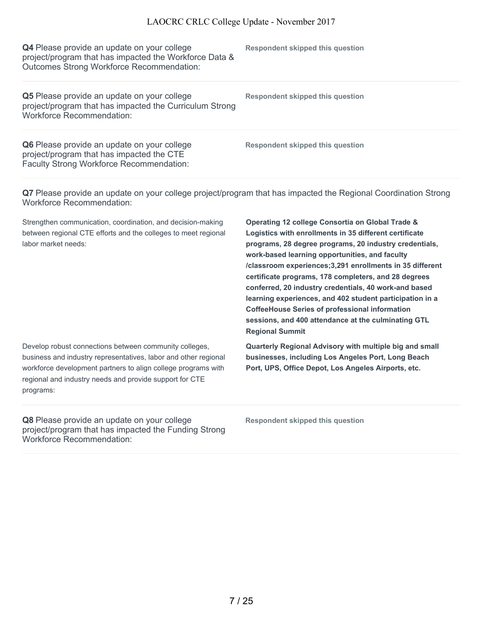| Q4 Please provide an update on your college<br>project/program that has impacted the Workforce Data &<br>Outcomes Strong Workforce Recommendation: | Respondent skipped this question |
|----------------------------------------------------------------------------------------------------------------------------------------------------|----------------------------------|
| Q5 Please provide an update on your college<br>project/program that has impacted the Curriculum Strong<br><b>Workforce Recommendation:</b>         | Respondent skipped this question |
| Q6 Please provide an update on your college<br>project/program that has impacted the CTE<br>Faculty Strong Workforce Recommendation:               | Respondent skipped this question |

**Q7** Please provide an update on your college project/program that has impacted the Regional Coordination Strong Workforce Recommendation:

Strengthen communication, coordination, and decision-making between regional CTE efforts and the colleges to meet regional labor market needs:

Develop robust connections between community colleges, business and industry representatives, labor and other regional workforce development partners to align college programs with regional and industry needs and provide support for CTE programs:

**Q8** Please provide an update on your college project/program that has impacted the Funding Strong Workforce Recommendation:

**Operating 12 college Consortia on Global Trade & Logistics with enrollments in 35 different certificate programs, 28 degree programs, 20 industry credentials, work-based learning opportunities, and faculty /classroom experiences;3,291 enrollments in 35 different certificate programs, 178 completers, and 28 degrees conferred, 20 industry credentials, 40 work-and based learning experiences, and 402 student participation in a CoffeeHouse Series of professional information sessions, and 400 attendance at the culminating GTL Regional Summit**

**Quarterly Regional Advisory with multiple big and small businesses, including Los Angeles Port, Long Beach Port, UPS, Office Depot, Los Angeles Airports, etc.**

**Respondent skipped this question**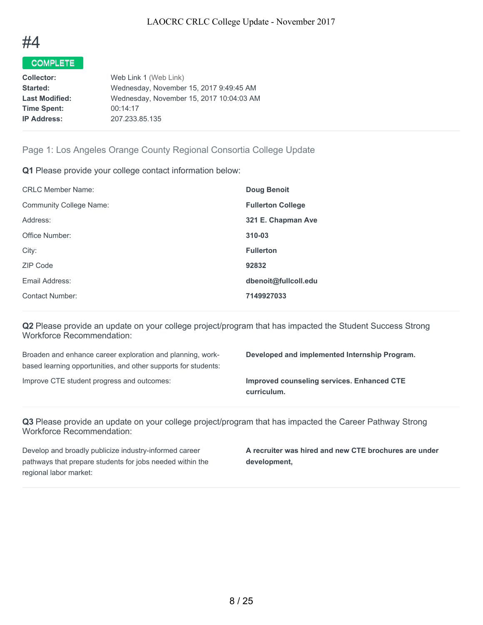

| <b>Collector:</b>     | Web Link 1 (Web Link)                    |
|-----------------------|------------------------------------------|
| Started:              | Wednesday, November 15, 2017 9:49:45 AM  |
| <b>Last Modified:</b> | Wednesday, November 15, 2017 10:04:03 AM |
| <b>Time Spent:</b>    | 00:14:17                                 |
| <b>IP Address:</b>    | 207.233.85.135                           |
|                       |                                          |

## Page 1: Los Angeles Orange County Regional Consortia College Update

**Q1** Please provide your college contact information below:

| <b>Doug Benoit</b>       |
|--------------------------|
| <b>Fullerton College</b> |
| 321 E. Chapman Ave       |
| 310-03                   |
| <b>Fullerton</b>         |
| 92832                    |
| dbenoit@fullcoll.edu     |
| 7149927033               |
|                          |

**Q2** Please provide an update on your college project/program that has impacted the Student Success Strong Workforce Recommendation:

Broaden and enhance career exploration and planning, workbased learning opportunities, and other supports for students:

**Developed and implemented Internship Program.**

Improve CTE student progress and outcomes: **Improved counseling services. Enhanced CTE curriculum.**

**Q3** Please provide an update on your college project/program that has impacted the Career Pathway Strong Workforce Recommendation:

Develop and broadly publicize industry-informed career pathways that prepare students for jobs needed within the regional labor market:

**A recruiter was hired and new CTE brochures are under development,**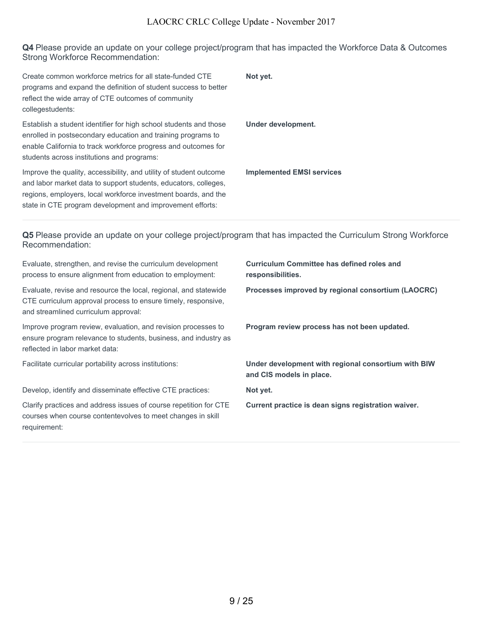**Q4** Please provide an update on your college project/program that has impacted the Workforce Data & Outcomes Strong Workforce Recommendation:

| Create common workforce metrics for all state-funded CTE<br>programs and expand the definition of student success to better<br>reflect the wide array of CTE outcomes of community<br>collegestudents:                                                               | Not yet.                         |
|----------------------------------------------------------------------------------------------------------------------------------------------------------------------------------------------------------------------------------------------------------------------|----------------------------------|
| Establish a student identifier for high school students and those<br>enrolled in postsecondary education and training programs to<br>enable California to track workforce progress and outcomes for<br>students across institutions and programs:                    | Under development.               |
| Improve the quality, accessibility, and utility of student outcome<br>and labor market data to support students, educators, colleges,<br>regions, employers, local workforce investment boards, and the<br>state in CTE program development and improvement efforts: | <b>Implemented EMSI services</b> |

**Q5** Please provide an update on your college project/program that has impacted the Curriculum Strong Workforce Recommendation:

| Evaluate, strengthen, and revise the curriculum development<br>process to ensure alignment from education to employment:                                                  | <b>Curriculum Committee has defined roles and</b><br>responsibilities.          |
|---------------------------------------------------------------------------------------------------------------------------------------------------------------------------|---------------------------------------------------------------------------------|
| Evaluate, revise and resource the local, regional, and statewide<br>CTE curriculum approval process to ensure timely, responsive,<br>and streamlined curriculum approval: | Processes improved by regional consortium (LAOCRC)                              |
| Improve program review, evaluation, and revision processes to<br>ensure program relevance to students, business, and industry as<br>reflected in labor market data:       | Program review process has not been updated.                                    |
| Facilitate curricular portability across institutions:                                                                                                                    | Under development with regional consortium with BIW<br>and CIS models in place. |
| Develop, identify and disseminate effective CTE practices:                                                                                                                | Not yet.                                                                        |
| Clarify practices and address issues of course repetition for CTE<br>courses when course contentevolves to meet changes in skill<br>requirement:                          | Current practice is dean signs registration waiver.                             |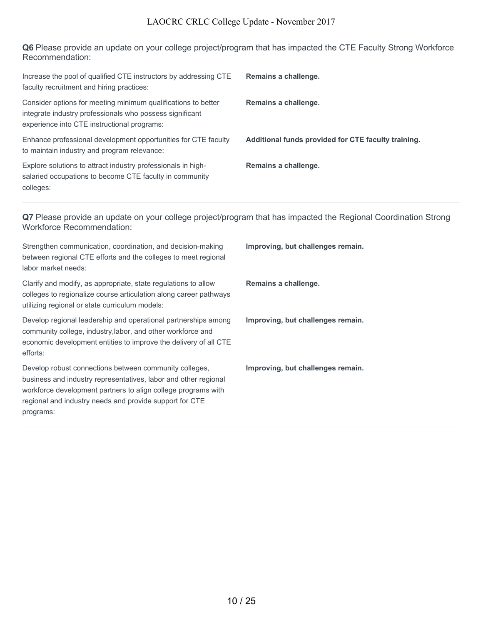**Q6** Please provide an update on your college project/program that has impacted the CTE Faculty Strong Workforce Recommendation:

| Increase the pool of qualified CTE instructors by addressing CTE<br>faculty recruitment and hiring practices:                                                            | Remains a challenge.                                |
|--------------------------------------------------------------------------------------------------------------------------------------------------------------------------|-----------------------------------------------------|
| Consider options for meeting minimum qualifications to better<br>integrate industry professionals who possess significant<br>experience into CTE instructional programs: | Remains a challenge.                                |
| Enhance professional development opportunities for CTE faculty<br>to maintain industry and program relevance:                                                            | Additional funds provided for CTE faculty training. |
| Explore solutions to attract industry professionals in high-<br>salaried occupations to become CTE faculty in community<br>colleges:                                     | Remains a challenge.                                |

**Q7** Please provide an update on your college project/program that has impacted the Regional Coordination Strong Workforce Recommendation:

| Strengthen communication, coordination, and decision-making<br>between regional CTE efforts and the colleges to meet regional<br>labor market needs:                                                                                                               | Improving, but challenges remain. |
|--------------------------------------------------------------------------------------------------------------------------------------------------------------------------------------------------------------------------------------------------------------------|-----------------------------------|
| Clarify and modify, as appropriate, state regulations to allow<br>colleges to regionalize course articulation along career pathways<br>utilizing regional or state curriculum models:                                                                              | Remains a challenge.              |
| Develop regional leadership and operational partnerships among<br>community college, industry, labor, and other workforce and<br>economic development entities to improve the delivery of all CTE<br>efforts:                                                      | Improving, but challenges remain. |
| Develop robust connections between community colleges,<br>business and industry representatives, labor and other regional<br>workforce development partners to align college programs with<br>regional and industry needs and provide support for CTE<br>programs: | Improving, but challenges remain. |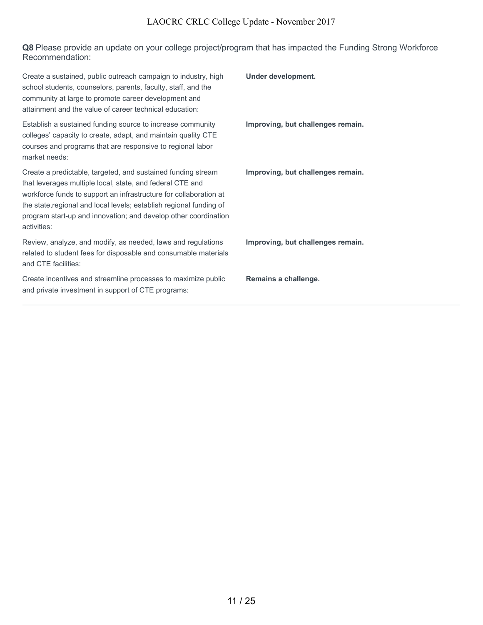**Q8** Please provide an update on your college project/program that has impacted the Funding Strong Workforce Recommendation:

| Create a sustained, public outreach campaign to industry, high<br>school students, counselors, parents, faculty, staff, and the<br>community at large to promote career development and<br>attainment and the value of career technical education:                                                                                                      | Under development.                |
|---------------------------------------------------------------------------------------------------------------------------------------------------------------------------------------------------------------------------------------------------------------------------------------------------------------------------------------------------------|-----------------------------------|
| Establish a sustained funding source to increase community<br>colleges' capacity to create, adapt, and maintain quality CTE<br>courses and programs that are responsive to regional labor<br>market needs:                                                                                                                                              | Improving, but challenges remain. |
| Create a predictable, targeted, and sustained funding stream<br>that leverages multiple local, state, and federal CTE and<br>workforce funds to support an infrastructure for collaboration at<br>the state, regional and local levels; establish regional funding of<br>program start-up and innovation; and develop other coordination<br>activities: | Improving, but challenges remain. |
| Review, analyze, and modify, as needed, laws and regulations<br>related to student fees for disposable and consumable materials<br>and CTE facilities:                                                                                                                                                                                                  | Improving, but challenges remain. |
| Create incentives and streamline processes to maximize public<br>and private investment in support of CTE programs:                                                                                                                                                                                                                                     | Remains a challenge.              |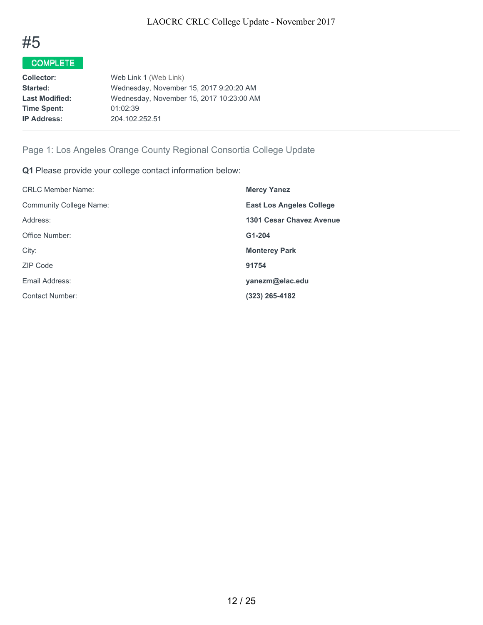

| <b>Collector:</b>     | Web Link 1 (Web Link)                    |
|-----------------------|------------------------------------------|
| Started:              | Wednesday, November 15, 2017 9:20:20 AM  |
| <b>Last Modified:</b> | Wednesday, November 15, 2017 10:23:00 AM |
| <b>Time Spent:</b>    | 01:02:39                                 |
| <b>IP Address:</b>    | 204.102.252.51                           |
|                       |                                          |

# Page 1: Los Angeles Orange County Regional Consortia College Update

**Q1** Please provide your college contact information below:

| <b>Mercy Yanez</b>              |
|---------------------------------|
| <b>East Los Angeles College</b> |
| 1301 Cesar Chavez Avenue        |
| G1-204                          |
| <b>Monterey Park</b>            |
| 91754                           |
| yanezm@elac.edu                 |
| $(323)$ 265-4182                |
|                                 |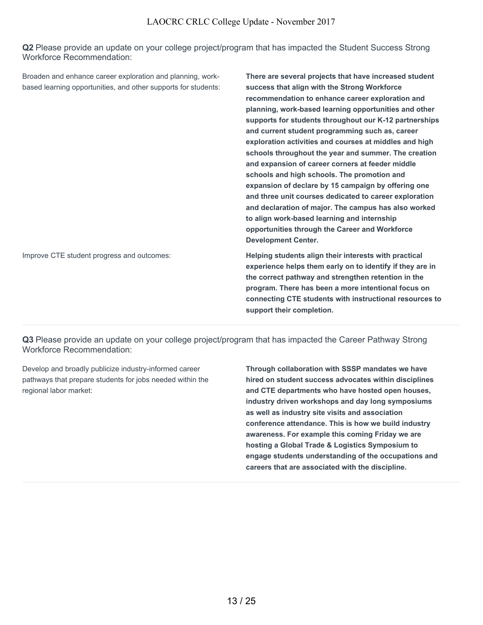**Q2** Please provide an update on your college project/program that has impacted the Student Success Strong Workforce Recommendation:

Broaden and enhance career exploration and planning, workbased learning opportunities, and other supports for students: **There are several projects that have increased student success that align with the Strong Workforce recommendation to enhance career exploration and planning, work-based learning opportunities and other supports for students throughout our K-12 partnerships and current student programming such as, career exploration activities and courses at middles and high schools throughout the year and summer. The creation and expansion of career corners at feeder middle schools and high schools. The promotion and expansion of declare by 15 campaign by offering one and three unit courses dedicated to career exploration and declaration of major. The campus has also worked to align work-based learning and internship opportunities through the Career and Workforce Development Center.**

Improve CTE student progress and outcomes: **Helping students align their interests with practical experience helps them early on to identify if they are in the correct pathway and strengthen retention in the program. There has been a more intentional focus on connecting CTE students with instructional resources to support their completion.**

**Q3** Please provide an update on your college project/program that has impacted the Career Pathway Strong Workforce Recommendation:

Develop and broadly publicize industry-informed career pathways that prepare students for jobs needed within the regional labor market:

**Through collaboration with SSSP mandates we have hired on student success advocates within disciplines and CTE departments who have hosted open houses, industry driven workshops and day long symposiums as well as industry site visits and association conference attendance. This is how we build industry awareness. For example this coming Friday we are hosting a Global Trade & Logistics Symposium to engage students understanding of the occupations and careers that are associated with the discipline.**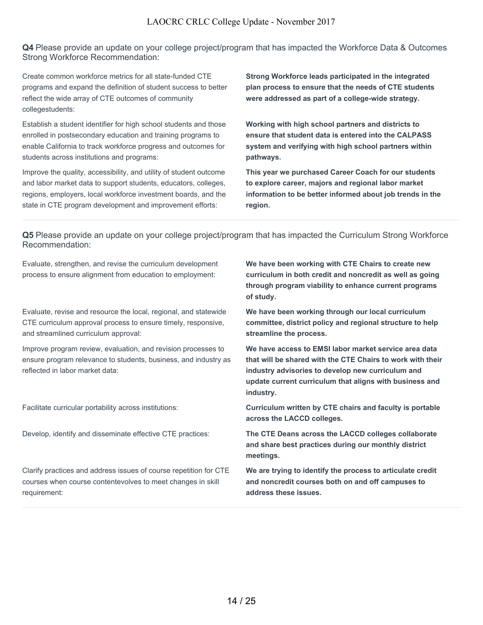**Q4** Please provide an update on your college project/program that has impacted the Workforce Data & Outcomes Strong Workforce Recommendation:

Create common workforce metrics for all state-funded CTE programs and expand the definition of student success to better reflect the wide array of CTE outcomes of community collegestudents:

Establish a student identifier for high school students and those enrolled in postsecondary education and training programs to enable California to track workforce progress and outcomes for students across institutions and programs:

Improve the quality, accessibility, and utility of student outcome and labor market data to support students, educators, colleges, regions, employers, local workforce investment boards, and the state in CTE program development and improvement efforts:

**Strong Workforce leads participated in the integrated plan process to ensure that the needs of CTE students were addressed as part of a college-wide strategy.**

**Working with high school partners and districts to ensure that student data is entered into the CALPASS system and verifying with high school partners within pathways.**

**This year we purchased Career Coach for our students to explore career, majors and regional labor market information to be better informed about job trends in the region.**

**Q5** Please provide an update on your college project/program that has impacted the Curriculum Strong Workforce Recommendation:

Evaluate, strengthen, and revise the curriculum development process to ensure alignment from education to employment:

Evaluate, revise and resource the local, regional, and statewide CTE curriculum approval process to ensure timely, responsive, and streamlined curriculum approval:

Improve program review, evaluation, and revision processes to ensure program relevance to students, business, and industry as reflected in labor market data:

Clarify practices and address issues of course repetition for CTE courses when course contentevolves to meet changes in skill requirement:

**We have been working with CTE Chairs to create new curriculum in both credit and noncredit as well as going through program viability to enhance current programs of study.**

**We have been working through our local curriculum committee, district policy and regional structure to help streamline the process.**

**We have access to EMSI labor market service area data that will be shared with the CTE Chairs to work with their industry advisories to develop new curriculum and update current curriculum that aligns with business and industry.**

Facilitate curricular portability across institutions: **Curriculum written by CTE chairs and faculty is portable across the LACCD colleges.**

Develop, identify and disseminate effective CTE practices: **The CTE Deans across the LACCD colleges collaborate and share best practices during our monthly district meetings.**

> **We are trying to identify the process to articulate credit and noncredit courses both on and off campuses to address these issues.**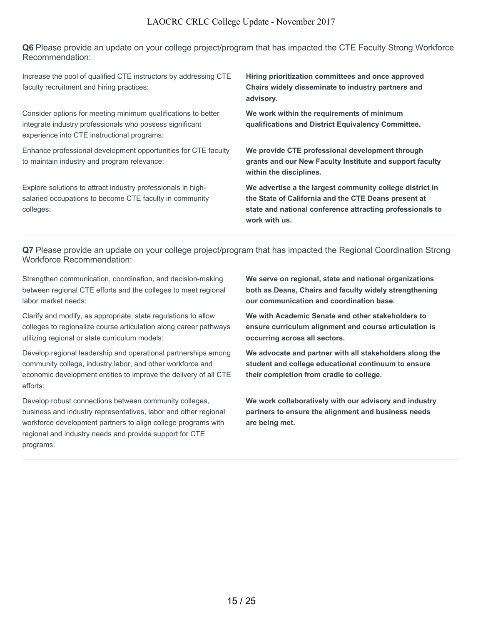**Q6** Please provide an update on your college project/program that has impacted the CTE Faculty Strong Workforce Recommendation:

Increase the pool of qualified CTE instructors by addressing CTE faculty recruitment and hiring practices:

Consider options for meeting minimum qualifications to better integrate industry professionals who possess significant experience into CTE instructional programs:

Enhance professional development opportunities for CTE faculty to maintain industry and program relevance:

Explore solutions to attract industry professionals in highsalaried occupations to become CTE faculty in community colleges:

**Hiring prioritization committees and once approved Chairs widely disseminate to industry partners and advisory.**

**We work within the requirements of minimum qualifications and District Equivalency Committee.**

**We provide CTE professional development through grants and our New Faculty Institute and support faculty within the disciplines.**

**We advertise a the largest community college district in the State of California and the CTE Deans present at state and national conference attracting professionals to work with us.**

**Q7** Please provide an update on your college project/program that has impacted the Regional Coordination Strong Workforce Recommendation:

Strengthen communication, coordination, and decision-making between regional CTE efforts and the colleges to meet regional labor market needs:

Clarify and modify, as appropriate, state regulations to allow colleges to regionalize course articulation along career pathways utilizing regional or state curriculum models:

Develop regional leadership and operational partnerships among community college, industry,labor, and other workforce and economic development entities to improve the delivery of all CTE efforts:

Develop robust connections between community colleges, business and industry representatives, labor and other regional workforce development partners to align college programs with regional and industry needs and provide support for CTE programs:

**We serve on regional, state and national organizations both as Deans, Chairs and faculty widely strengthening our communication and coordination base.**

**We with Academic Senate and other stakeholders to ensure curriculum alignment and course articulation is occurring across all sectors.**

**We advocate and partner with all stakeholders along the student and college educational continuum to ensure their completion from cradle to college.**

**We work collaboratively with our advisory and industry partners to ensure the alignment and business needs are being met.**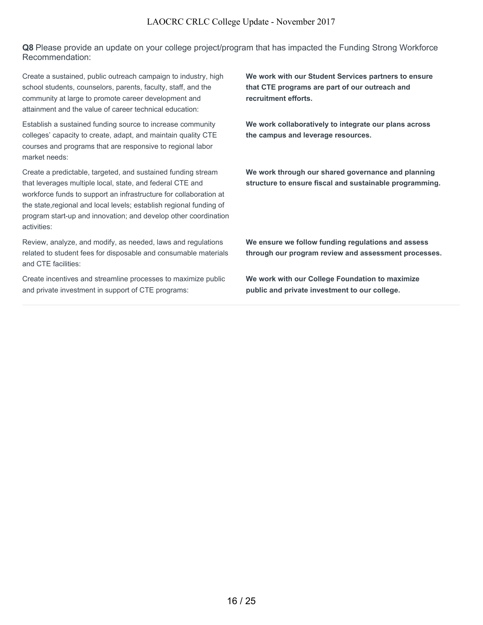**Q8** Please provide an update on your college project/program that has impacted the Funding Strong Workforce Recommendation:

Create a sustained, public outreach campaign to industry, high school students, counselors, parents, faculty, staff, and the community at large to promote career development and attainment and the value of career technical education:

Establish a sustained funding source to increase community colleges' capacity to create, adapt, and maintain quality CTE courses and programs that are responsive to regional labor market needs:

Create a predictable, targeted, and sustained funding stream that leverages multiple local, state, and federal CTE and workforce funds to support an infrastructure for collaboration at the state,regional and local levels; establish regional funding of program start-up and innovation; and develop other coordination activities:

Review, analyze, and modify, as needed, laws and regulations related to student fees for disposable and consumable materials and CTE facilities:

Create incentives and streamline processes to maximize public and private investment in support of CTE programs:

**We work with our Student Services partners to ensure that CTE programs are part of our outreach and recruitment efforts.**

**We work collaboratively to integrate our plans across the campus and leverage resources.**

**We work through our shared governance and planning structure to ensure fiscal and sustainable programming.**

**We ensure we follow funding regulations and assess through our program review and assessment processes.**

**We work with our College Foundation to maximize public and private investment to our college.**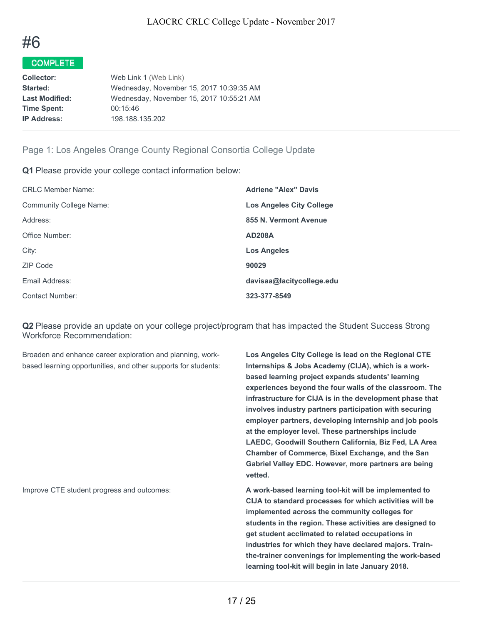

| Web Link 1 (Web Link)                    |
|------------------------------------------|
| Wednesday, November 15, 2017 10:39:35 AM |
| Wednesday, November 15, 2017 10:55:21 AM |
| 00:15:46                                 |
| 198.188.135.202                          |
|                                          |

## Page 1: Los Angeles Orange County Regional Consortia College Update

**Q1** Please provide your college contact information below:

| <b>Adriene "Alex" Davis</b>     |
|---------------------------------|
| <b>Los Angeles City College</b> |
| 855 N. Vermont Avenue           |
| <b>AD208A</b>                   |
| <b>Los Angeles</b>              |
| 90029                           |
| davisaa@lacitycollege.edu       |
| 323-377-8549                    |
|                                 |

**Q2** Please provide an update on your college project/program that has impacted the Student Success Strong Workforce Recommendation:

Broaden and enhance career exploration and planning, workbased learning opportunities, and other supports for students: **Los Angeles City College is lead on the Regional CTE Internships & Jobs Academy (CIJA), which is a workbased learning project expands students' learning experiences beyond the four walls of the classroom. The infrastructure for CIJA is in the development phase that involves industry partners participation with securing employer partners, developing internship and job pools at the employer level. These partnerships include LAEDC, Goodwill Southern California, Biz Fed, LA Area Chamber of Commerce, Bixel Exchange, and the San Gabriel Valley EDC. However, more partners are being vetted.**

Improve CTE student progress and outcomes: **A work-based learning tool-kit will be implemented to CIJA to standard processes for which activities will be implemented across the community colleges for students in the region. These activities are designed to get student acclimated to related occupations in industries for which they have declared majors. Trainthe-trainer convenings for implementing the work-based learning tool-kit will begin in late January 2018.**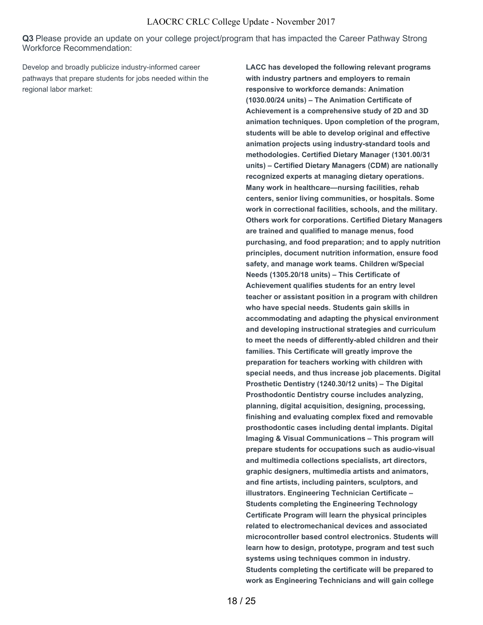**Q3** Please provide an update on your college project/program that has impacted the Career Pathway Strong Workforce Recommendation:

Develop and broadly publicize industry-informed career pathways that prepare students for jobs needed within the regional labor market:

**LACC has developed the following relevant programs with industry partners and employers to remain responsive to workforce demands: Animation (1030.00/24 units) – The Animation Certificate of Achievement is a comprehensive study of 2D and 3D animation techniques. Upon completion of the program, students will be able to develop original and effective animation projects using industry-standard tools and methodologies. Certified Dietary Manager (1301.00/31 units) – Certified Dietary Managers (CDM) are nationally recognized experts at managing dietary operations. Many work in healthcare—nursing facilities, rehab centers, senior living communities, or hospitals. Some work in correctional facilities, schools, and the military. Others work for corporations. Certified Dietary Managers are trained and qualified to manage menus, food purchasing, and food preparation; and to apply nutrition principles, document nutrition information, ensure food safety, and manage work teams. Children w/Special Needs (1305.20/18 units) – This Certificate of Achievement qualifies students for an entry level teacher or assistant position in a program with children who have special needs. Students gain skills in accommodating and adapting the physical environment and developing instructional strategies and curriculum to meet the needs of differently-abled children and their families. This Certificate will greatly improve the preparation for teachers working with children with special needs, and thus increase job placements. Digital Prosthetic Dentistry (1240.30/12 units) – The Digital Prosthodontic Dentistry course includes analyzing, planning, digital acquisition, designing, processing, finishing and evaluating complex fixed and removable prosthodontic cases including dental implants. Digital Imaging & Visual Communications – This program will prepare students for occupations such as audio-visual and multimedia collections specialists, art directors, graphic designers, multimedia artists and animators, and fine artists, including painters, sculptors, and illustrators. Engineering Technician Certificate – Students completing the Engineering Technology Certificate Program will learn the physical principles related to electromechanical devices and associated microcontroller based control electronics. Students will learn how to design, prototype, program and test such systems using techniques common in industry. Students completing the certificate will be prepared to work as Engineering Technicians and will gain college**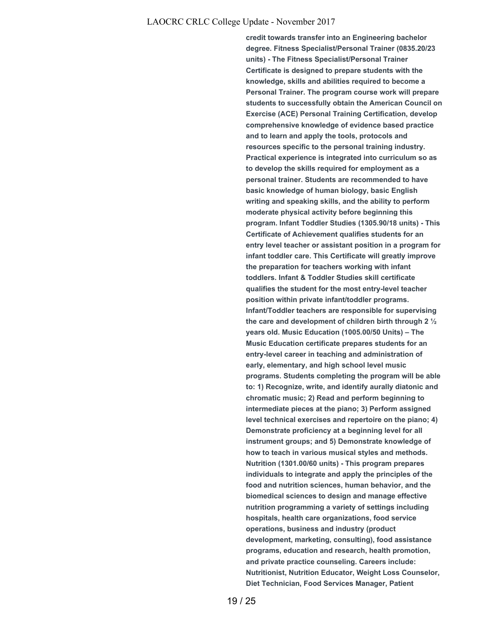**credit towards transfer into an Engineering bachelor degree. Fitness Specialist/Personal Trainer (0835.20/23 units) - The Fitness Specialist/Personal Trainer Certificate is designed to prepare students with the knowledge, skills and abilities required to become a Personal Trainer. The program course work will prepare students to successfully obtain the American Council on Exercise (ACE) Personal Training Certification, develop comprehensive knowledge of evidence based practice and to learn and apply the tools, protocols and resources specific to the personal training industry. Practical experience is integrated into curriculum so as to develop the skills required for employment as a personal trainer. Students are recommended to have basic knowledge of human biology, basic English writing and speaking skills, and the ability to perform moderate physical activity before beginning this program. Infant Toddler Studies (1305.90/18 units) - This Certificate of Achievement qualifies students for an entry level teacher or assistant position in a program for infant toddler care. This Certificate will greatly improve the preparation for teachers working with infant toddlers. Infant & Toddler Studies skill certificate qualifies the student for the most entry-level teacher position within private infant/toddler programs. Infant/Toddler teachers are responsible for supervising the care and development of children birth through 2 ½ years old. Music Education (1005.00/50 Units) – The Music Education certificate prepares students for an entry-level career in teaching and administration of early, elementary, and high school level music programs. Students completing the program will be able to: 1) Recognize, write, and identify aurally diatonic and chromatic music; 2) Read and perform beginning to intermediate pieces at the piano; 3) Perform assigned level technical exercises and repertoire on the piano; 4) Demonstrate proficiency at a beginning level for all instrument groups; and 5) Demonstrate knowledge of how to teach in various musical styles and methods. Nutrition (1301.00/60 units) - This program prepares individuals to integrate and apply the principles of the food and nutrition sciences, human behavior, and the biomedical sciences to design and manage effective nutrition programming a variety of settings including hospitals, health care organizations, food service operations, business and industry (product development, marketing, consulting), food assistance programs, education and research, health promotion, and private practice counseling. Careers include: Nutritionist, Nutrition Educator, Weight Loss Counselor, Diet Technician, Food Services Manager, Patient**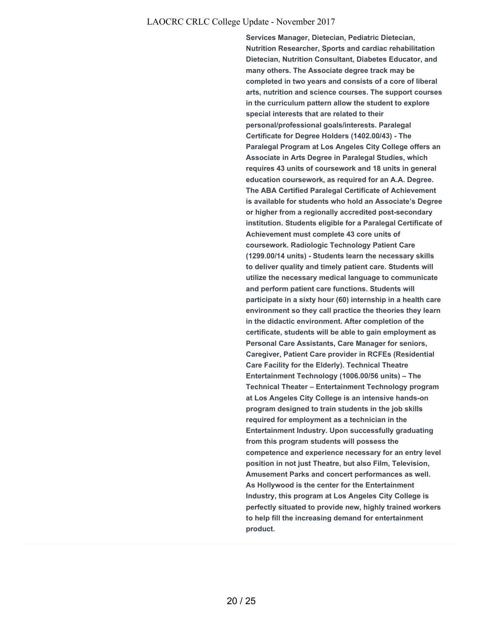**Services Manager, Dietecian, Pediatric Dietecian, Nutrition Researcher, Sports and cardiac rehabilitation Dietecian, Nutrition Consultant, Diabetes Educator, and many others. The Associate degree track may be completed in two years and consists of a core of liberal arts, nutrition and science courses. The support courses in the curriculum pattern allow the student to explore special interests that are related to their personal/professional goals/interests. Paralegal Certificate for Degree Holders (1402.00/43) - The Paralegal Program at Los Angeles City College offers an Associate in Arts Degree in Paralegal Studies, which requires 43 units of coursework and 18 units in general education coursework, as required for an A.A. Degree. The ABA Certified Paralegal Certificate of Achievement is available for students who hold an Associate's Degree or higher from a regionally accredited post-secondary institution. Students eligible for a Paralegal Certificate of Achievement must complete 43 core units of coursework. Radiologic Technology Patient Care (1299.00/14 units) - Students learn the necessary skills to deliver quality and timely patient care. Students will utilize the necessary medical language to communicate and perform patient care functions. Students will participate in a sixty hour (60) internship in a health care environment so they call practice the theories they learn in the didactic environment. After completion of the certificate, students will be able to gain employment as Personal Care Assistants, Care Manager for seniors, Caregiver, Patient Care provider in RCFEs (Residential Care Facility for the Elderly). Technical Theatre Entertainment Technology (1006.00/56 units) – The Technical Theater – Entertainment Technology program at Los Angeles City College is an intensive hands-on program designed to train students in the job skills required for employment as a technician in the Entertainment Industry. Upon successfully graduating from this program students will possess the competence and experience necessary for an entry level position in not just Theatre, but also Film, Television, Amusement Parks and concert performances as well. As Hollywood is the center for the Entertainment Industry, this program at Los Angeles City College is perfectly situated to provide new, highly trained workers to help fill the increasing demand for entertainment product.**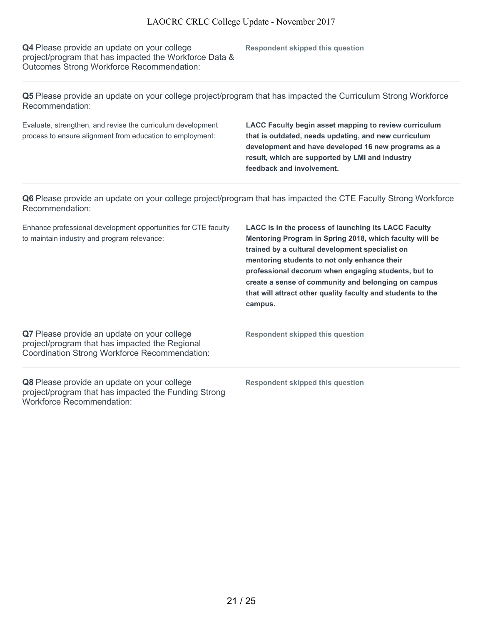**Q4** Please provide an update on your college project/program that has impacted the Workforce Data & Outcomes Strong Workforce Recommendation:

**Respondent skipped this question**

**Q5** Please provide an update on your college project/program that has impacted the Curriculum Strong Workforce Recommendation:

Evaluate, strengthen, and revise the curriculum development process to ensure alignment from education to employment:

**LACC Faculty begin asset mapping to review curriculum that is outdated, needs updating, and new curriculum development and have developed 16 new programs as a result, which are supported by LMI and industry feedback and involvement.**

**Q6** Please provide an update on your college project/program that has impacted the CTE Faculty Strong Workforce Recommendation:

| Enhance professional development opportunities for CTE faculty<br>to maintain industry and program relevance:                                  | LACC is in the process of launching its LACC Faculty<br>Mentoring Program in Spring 2018, which faculty will be<br>trained by a cultural development specialist on<br>mentoring students to not only enhance their<br>professional decorum when engaging students, but to<br>create a sense of community and belonging on campus<br>that will attract other quality faculty and students to the<br>campus. |
|------------------------------------------------------------------------------------------------------------------------------------------------|------------------------------------------------------------------------------------------------------------------------------------------------------------------------------------------------------------------------------------------------------------------------------------------------------------------------------------------------------------------------------------------------------------|
| Q7 Please provide an update on your college<br>project/program that has impacted the Regional<br>Coordination Strong Workforce Recommendation: | Respondent skipped this question                                                                                                                                                                                                                                                                                                                                                                           |
| Q8 Please provide an update on your college<br>project/program that has impacted the Funding Strong<br><b>Workforce Recommendation:</b>        | Respondent skipped this question                                                                                                                                                                                                                                                                                                                                                                           |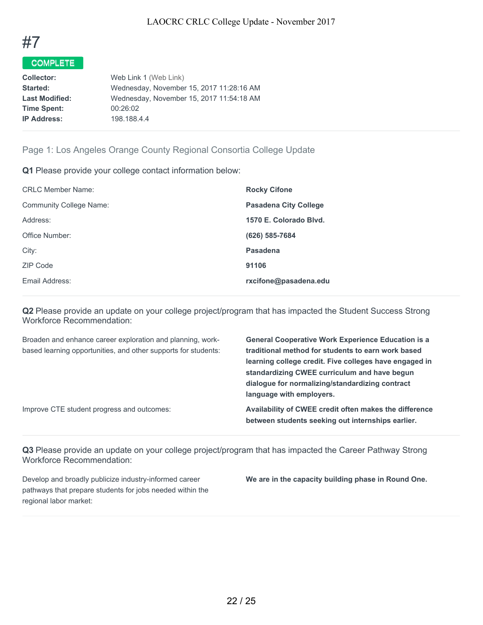

| <b>Collector:</b>     | Web Link 1 (Web Link)                    |
|-----------------------|------------------------------------------|
| Started:              | Wednesday, November 15, 2017 11:28:16 AM |
| <b>Last Modified:</b> | Wednesday, November 15, 2017 11:54:18 AM |
| <b>Time Spent:</b>    | 00:26:02                                 |
| <b>IP Address:</b>    | 198.188.4.4                              |
|                       |                                          |

# Page 1: Los Angeles Orange County Regional Consortia College Update

**Q1** Please provide your college contact information below:

| <b>CRLC Member Name:</b> | <b>Rocky Cifone</b>          |
|--------------------------|------------------------------|
| Community College Name:  | <b>Pasadena City College</b> |
| Address:                 | 1570 E. Colorado Blyd.       |
| Office Number:           | (626) 585-7684               |
| City:                    | Pasadena                     |
| ZIP Code                 | 91106                        |
| Email Address:           | rxcifone@pasadena.edu        |
|                          |                              |

**Q2** Please provide an update on your college project/program that has impacted the Student Success Strong Workforce Recommendation:

| Broaden and enhance career exploration and planning, work-     | <b>General Cooperative Work Experience Education is a</b> |
|----------------------------------------------------------------|-----------------------------------------------------------|
| based learning opportunities, and other supports for students: | traditional method for students to earn work based        |
|                                                                | learning college credit. Five colleges have engaged in    |
|                                                                | standardizing CWEE curriculum and have begun              |
|                                                                | dialogue for normalizing/standardizing contract           |
|                                                                | language with employers.                                  |
| Improve CTE student progress and outcomes:                     | Availability of CWEE credit often makes the difference    |
|                                                                | between students seeking out internships earlier.         |

**Q3** Please provide an update on your college project/program that has impacted the Career Pathway Strong Workforce Recommendation:

Develop and broadly publicize industry-informed career pathways that prepare students for jobs needed within the regional labor market:

**We are in the capacity building phase in Round One.**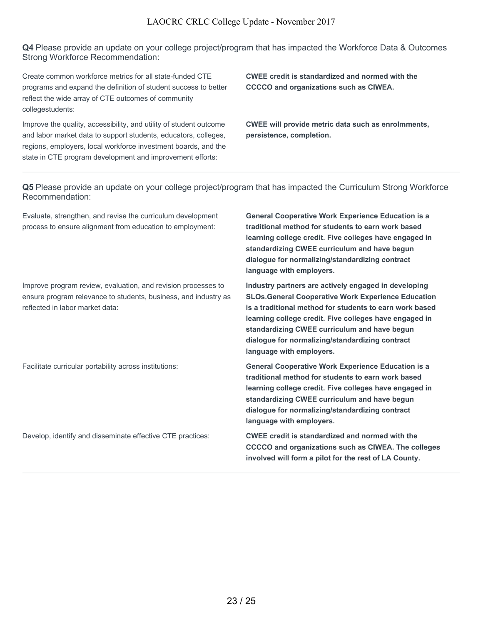**Q4** Please provide an update on your college project/program that has impacted the Workforce Data & Outcomes Strong Workforce Recommendation:

Create common workforce metrics for all state-funded CTE programs and expand the definition of student success to better reflect the wide array of CTE outcomes of community collegestudents:

Improve the quality, accessibility, and utility of student outcome and labor market data to support students, educators, colleges, regions, employers, local workforce investment boards, and the state in CTE program development and improvement efforts:

**CWEE credit is standardized and normed with the CCCCO and organizations such as CIWEA.**

**CWEE will provide metric data such as enrolmments, persistence, completion.**

**Q5** Please provide an update on your college project/program that has impacted the Curriculum Strong Workforce Recommendation:

Evaluate, strengthen, and revise the curriculum development process to ensure alignment from education to employment:

Improve program review, evaluation, and revision processes to ensure program relevance to students, business, and industry as reflected in labor market data:

**General Cooperative Work Experience Education is a traditional method for students to earn work based learning college credit. Five colleges have engaged in standardizing CWEE curriculum and have begun dialogue for normalizing/standardizing contract language with employers.**

**Industry partners are actively engaged in developing SLOs.General Cooperative Work Experience Education is a traditional method for students to earn work based learning college credit. Five colleges have engaged in standardizing CWEE curriculum and have begun dialogue for normalizing/standardizing contract language with employers.**

Facilitate curricular portability across institutions: **General Cooperative Work Experience Education is a traditional method for students to earn work based learning college credit. Five colleges have engaged in standardizing CWEE curriculum and have begun dialogue for normalizing/standardizing contract language with employers.**

Develop, identify and disseminate effective CTE practices: **CWEE credit is standardized and normed with the CCCCO and organizations such as CIWEA. The colleges involved will form a pilot for the rest of LA County.**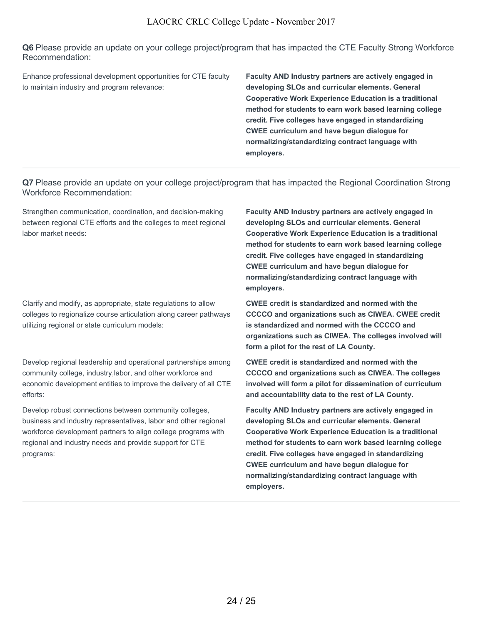**Q6** Please provide an update on your college project/program that has impacted the CTE Faculty Strong Workforce Recommendation:

Enhance professional development opportunities for CTE faculty to maintain industry and program relevance:

**Faculty AND Industry partners are actively engaged in developing SLOs and curricular elements. General Cooperative Work Experience Education is a traditional method for students to earn work based learning college credit. Five colleges have engaged in standardizing CWEE curriculum and have begun dialogue for normalizing/standardizing contract language with employers.**

**Q7** Please provide an update on your college project/program that has impacted the Regional Coordination Strong Workforce Recommendation:

Strengthen communication, coordination, and decision-making between regional CTE efforts and the colleges to meet regional labor market needs:

Clarify and modify, as appropriate, state regulations to allow colleges to regionalize course articulation along career pathways utilizing regional or state curriculum models:

Develop regional leadership and operational partnerships among community college, industry,labor, and other workforce and economic development entities to improve the delivery of all CTE efforts:

Develop robust connections between community colleges, business and industry representatives, labor and other regional workforce development partners to align college programs with regional and industry needs and provide support for CTE programs:

**Faculty AND Industry partners are actively engaged in developing SLOs and curricular elements. General Cooperative Work Experience Education is a traditional method for students to earn work based learning college credit. Five colleges have engaged in standardizing CWEE curriculum and have begun dialogue for normalizing/standardizing contract language with employers.**

**CWEE credit is standardized and normed with the CCCCO and organizations such as CIWEA. CWEE credit is standardized and normed with the CCCCO and organizations such as CIWEA. The colleges involved will form a pilot for the rest of LA County.**

**CWEE credit is standardized and normed with the CCCCO and organizations such as CIWEA. The colleges involved will form a pilot for dissemination of curriculum and accountability data to the rest of LA County.**

**Faculty AND Industry partners are actively engaged in developing SLOs and curricular elements. General Cooperative Work Experience Education is a traditional method for students to earn work based learning college credit. Five colleges have engaged in standardizing CWEE curriculum and have begun dialogue for normalizing/standardizing contract language with employers.**